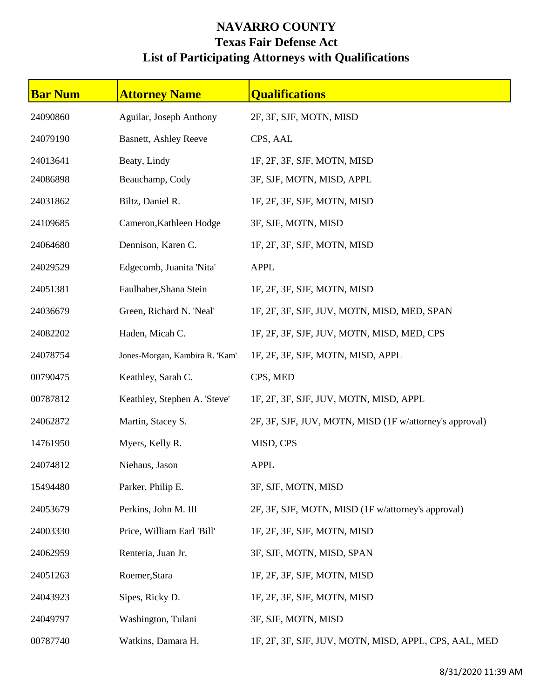## **NAVARRO COUNTY Texas Fair Defense Act List of Participating Attorneys with Qualifications**

| <b>Bar Num</b> | <b>Attorney Name</b>           | <b>Qualifications</b>                                   |
|----------------|--------------------------------|---------------------------------------------------------|
| 24090860       | Aguilar, Joseph Anthony        | 2F, 3F, SJF, MOTN, MISD                                 |
| 24079190       | <b>Basnett, Ashley Reeve</b>   | CPS, AAL                                                |
| 24013641       | Beaty, Lindy                   | 1F, 2F, 3F, SJF, MOTN, MISD                             |
| 24086898       | Beauchamp, Cody                | 3F, SJF, MOTN, MISD, APPL                               |
| 24031862       | Biltz, Daniel R.               | 1F, 2F, 3F, SJF, MOTN, MISD                             |
| 24109685       | Cameron, Kathleen Hodge        | 3F, SJF, MOTN, MISD                                     |
| 24064680       | Dennison, Karen C.             | 1F, 2F, 3F, SJF, MOTN, MISD                             |
| 24029529       | Edgecomb, Juanita 'Nita'       | <b>APPL</b>                                             |
| 24051381       | Faulhaber, Shana Stein         | 1F, 2F, 3F, SJF, MOTN, MISD                             |
| 24036679       | Green, Richard N. 'Neal'       | 1F, 2F, 3F, SJF, JUV, MOTN, MISD, MED, SPAN             |
| 24082202       | Haden, Micah C.                | 1F, 2F, 3F, SJF, JUV, MOTN, MISD, MED, CPS              |
| 24078754       | Jones-Morgan, Kambira R. 'Kam' | 1F, 2F, 3F, SJF, MOTN, MISD, APPL                       |
| 00790475       | Keathley, Sarah C.             | CPS, MED                                                |
| 00787812       | Keathley, Stephen A. 'Steve'   | 1F, 2F, 3F, SJF, JUV, MOTN, MISD, APPL                  |
| 24062872       | Martin, Stacey S.              | 2F, 3F, SJF, JUV, MOTN, MISD (1F w/attorney's approval) |
| 14761950       | Myers, Kelly R.                | MISD, CPS                                               |
| 24074812       | Niehaus, Jason                 | <b>APPL</b>                                             |
| 15494480       | Parker, Philip E.              | 3F, SJF, MOTN, MISD                                     |
| 24053679       | Perkins, John M. III           | 2F, 3F, SJF, MOTN, MISD (1F w/attorney's approval)      |
| 24003330       | Price, William Earl 'Bill'     | 1F, 2F, 3F, SJF, MOTN, MISD                             |
| 24062959       | Renteria, Juan Jr.             | 3F, SJF, MOTN, MISD, SPAN                               |
| 24051263       | Roemer, Stara                  | 1F, 2F, 3F, SJF, MOTN, MISD                             |
| 24043923       | Sipes, Ricky D.                | 1F, 2F, 3F, SJF, MOTN, MISD                             |
| 24049797       | Washington, Tulani             | 3F, SJF, MOTN, MISD                                     |
| 00787740       | Watkins, Damara H.             | 1F, 2F, 3F, SJF, JUV, MOTN, MISD, APPL, CPS, AAL, MED   |